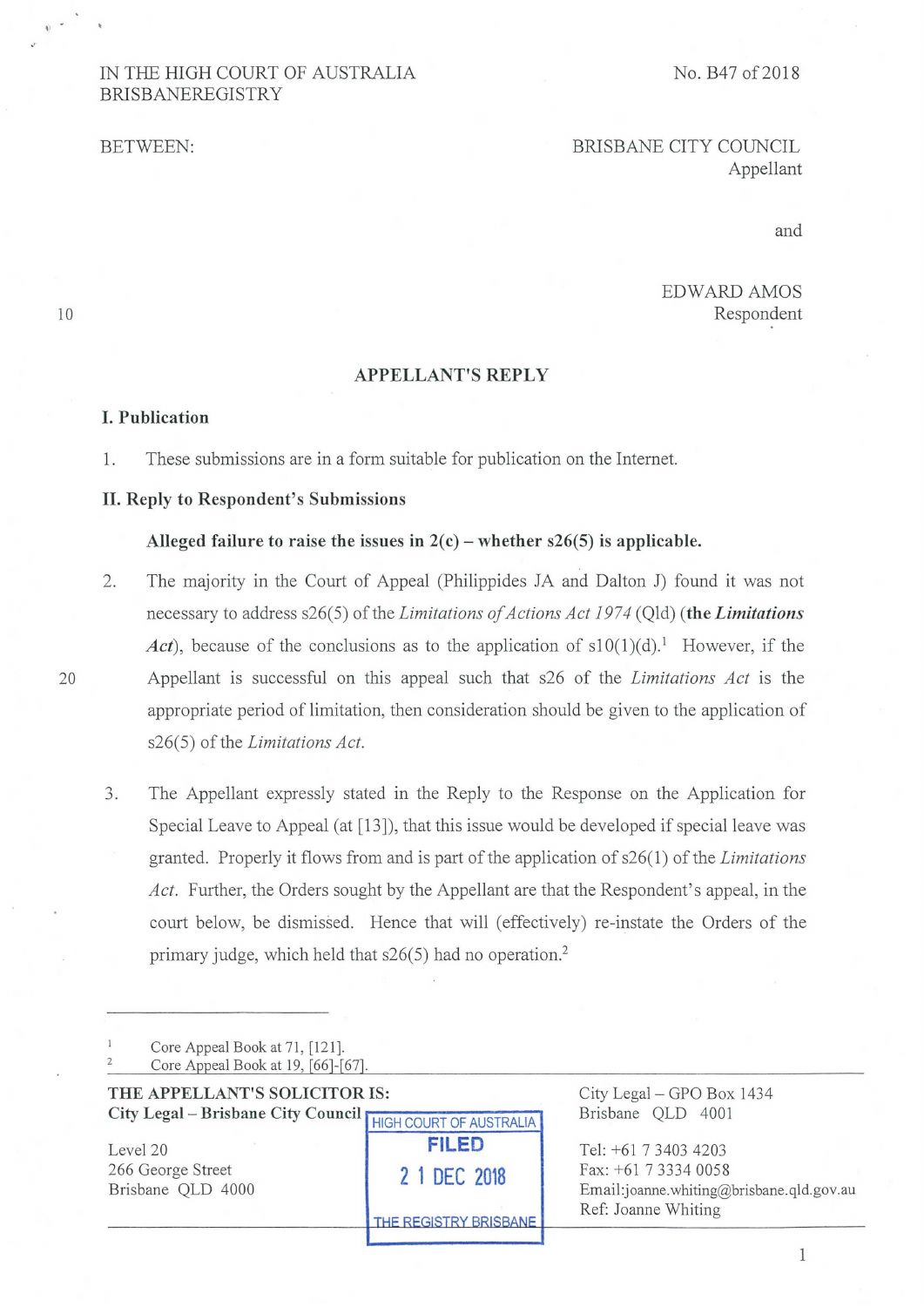# IN THE HIGH COURT OF AUSTRALIA No. B47 of 2018 BRISBANEREGISTRY

BETWEEN: BRISBANE CITY COUNCIL Appellant

and

# EDWARD AMOS 10 Respondent

#### **APPELLANT'S REPLY**

#### **I. Publication**

1. These submissions are in a form suitable for publication on the Internet.

### **II. Reply to Respondent's Submissions**

#### Alleged failure to raise the issues in  $2(c)$  – whether  $s26(5)$  is applicable.

- 2. The majority in the Court of Appeal (Philippides JA and Dalton J) found it was not necessary to address s26(5) of the *Limitations of Actions Act 1974* (Qld) **(the** *Limitations Act*), because of the conclusions as to the application of  $s10(1)(d)$ .<sup>1</sup> However, if the 20 Appellant is successful on this appeal such that s26 of the *Limitations Act* is the appropriate period of limitation, then consideration should be given to the application of s26(5) of the *Limitations Act.* 
	- 3. The Appellant expressly stated in the Reply to the Response on the Application for Special Leave to Appeal (at [13]), that this issue would be developed if special leave was granted. Properly it flows from and is part of the application of s26(1) of the *Limitations Act.* Further, the Orders sought by the Appellant are that the Respondent's appeal, in the court below, be dismissed. Hence that will (effectively) re-instate the Orders of the primary judge, which held that s26(5) had no operation.2

|                | Core Appeal Book at 71, [121].     |
|----------------|------------------------------------|
| $\overline{2}$ | Core Appeal Book at 19, [66]-[67]. |
|                |                                    |

| THE APPELLANT'S SOLICITOR IS:<br>City Legal - Brisbane City Council HIGH COURT OF AUSTRALIA |                                                       | City Legal – GPO Box 1434<br>Brisbane QLD 4001                                                                    |
|---------------------------------------------------------------------------------------------|-------------------------------------------------------|-------------------------------------------------------------------------------------------------------------------|
| Level 20<br>266 George Street<br>Brisbane QLD 4000                                          | <b>FILED</b><br>2 1 DEC 2018<br>THE REGISTRY BRISBANE | Tel: +61 7 3403 4203<br>Fax: $+61$ 7 3334 0058<br>Email:joanne.whiting@brisbane.qld.gov.au<br>Ref: Joanne Whiting |

1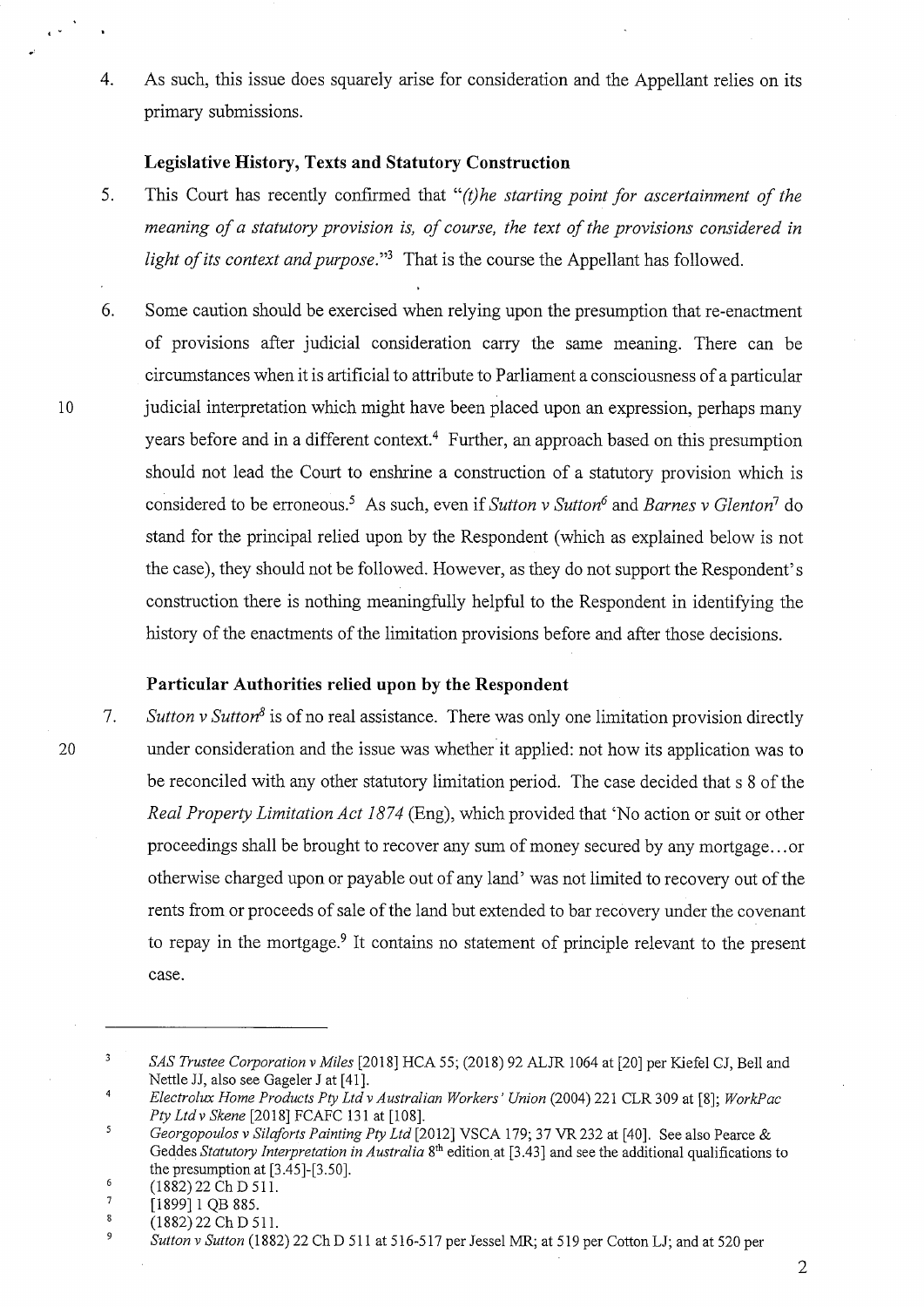4. As such, this issue does squarely arise for consideration and the Appellant relies on its primary submissions.

#### **Legislative History, Texts and Statutory Construction**

- 5. This Court has recently confirmed that *"(t)he starting point for ascertainment of the meaning of a statutory provision is, of course, the text of the provisions considered in light of its context and purpose."3* That is the course the Appellant has followed.
- 6. Some caution should be exercised when relying upon the presumption that re-enactment of provisions after judicial consideration carry the same meaning. There can be circumstances when it is artificial to attribute to Parliament a consciousness of a particular 10 judicial interpretation which might have been placed upon an expression, perhaps many years before and in a different context.<sup>4</sup> Further, an approach based on this presumption should not lead the Court to enshrine a construction of a statutory provision which is considered to be erroneous.5As such, even if *Sutton v Sutton6* and *Barnes v Glenton7* do stand for the principal relied upon by the Respondent (which as explained below is not the case), they should not be followed. However, as they do not support the Respondent's construction there is nothing meaningfully helpful to the Respondent in identifying the history of the enactments of the limitation provisions before and after those decisions.

## **Particular Authorities relied upon by the Respondent**

*7. Sutton v Sutton8* is of no real assistance. There was only one limitation provision directly 20 under consideration and the issue was whether it applied: not how its application was to be reconciled with any other statutory limitation period. The case decided that s 8 of the *Real Property Limitation Act 1874* (Eng), which provided that 'No action or suit or other proceedings shall be brought to recover any sum of money secured by any mortgage.. .or otherwise charged upon or payable out of any land' was not limited to recovery out of the rents from or proceeds of sale of the land but extended to bar recovery under the covenant to repay in the mortgage.<sup>9</sup> It contains no statement of principle relevant to the present case.

 $^{6}$  (1882) 22 Ch D 511.

<sup>3</sup>*SAS Trustee Corporation v Miles* [2018] HCA 55; (2018) 92 ALJR 1064 at [20] per Kiefel CJ, Bell and Nettle JJ, also see Gageler J at [41].

<sup>4</sup>*Electrolux Home Products Ply Ltd v Australian Workers' Union* (2004) 221 CLR 309 at [8]; *WorkPac Ply Ltd v Skene* [2018] FCAFC 131 at [108].

<sup>5</sup>*Georgopoulos v Silaforts Painting Ply Ltd* [2012] VSCA 179; 37 VR 232 at [40]. See also Pearce & Geddes *Statutory Interpretation in Australia* 8thedition at [3.43] and see the additional qualifications to the presumption at [3.45]-[3.50].

 $\frac{7}{8}$  [1899] 1 QB 885.

<sup>(1882) 22</sup> Ch D 511.

<sup>9</sup>*Sutton v Sutton* (1882) 22 Ch D 511 at 516-517 per Jessel MR; at 519 per Cotton LJ; and at 520 per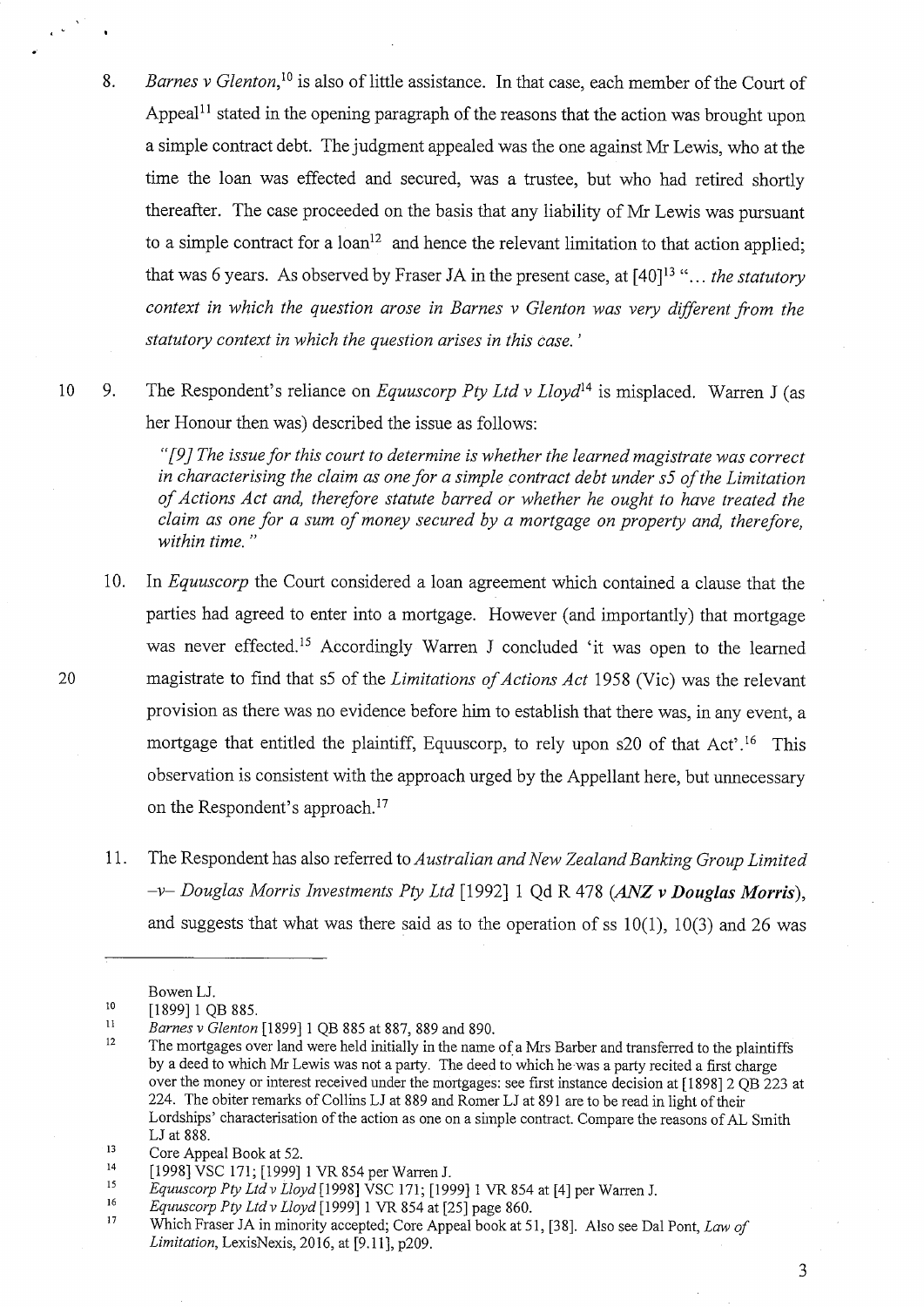- 8. *Barnes v Glenton,1°* is also of little assistance. In that case, each member of the Court of Appeal<sup>11</sup> stated in the opening paragraph of the reasons that the action was brought upon a simple contract debt. The judgment appealed was the one against Mr Lewis, who at the time the loan was effected and secured, was a trustee, but who had retired shortly thereafter. The case proceeded on the basis that any liability of Mr Lewis was pursuant to a simple contract for a loan<sup>12</sup> and hence the relevant limitation to that action applied; that was 6 years. As observed by Fraser JA in the present case, at [40]13"... *the statutory context in which the question arose in Barnes v Glenton was very different from the statutory context in which the question arises in this case.'*
- 10 9. The Respondent's reliance on *Equuscorp Ply Ltd v Lloyd14* is misplaced. Warren J (as her Honour then was) described the issue as follows:

*"[9] The issue for this court to determine is whether the learned magistrate was correct in characterising the claim as one for a simple contract debt under s5 of the Limitation of Actions Act and, therefore statute barred or whether he ought to have treated the claim as one for a sum of money secured by a mortgage on property and, therefore, within time."* 

- 10. In *Equuscorp* the Court considered a loan agreement which contained a clause that the parties had agreed to enter into a mortgage. However (and importantly) that mortgage was never effected.<sup>15</sup> Accordingly Warren J concluded 'it was open to the learned 20 magistrate to find that s5 of the *Limitations of Actions Act* 1958 (Vic) was the relevant provision as there was no evidence before him to establish that there was, in any event, a mortgage that entitled the plaintiff, Equuscorp, to rely upon  $s20$  of that Act'.<sup>16</sup> This observation is consistent with the approach urged by the Appellant here, but unnecessary on the Respondent's approach.17
	- 11. The Respondent has also referred to *Australian and New Zealand Banking Group Limited —v— Douglas Morris Investments Ply Ltd* [1992] 1 Qd R 478 *(ANZ v Douglas Morris),*  and suggests that what was there said as to the operation of ss 10(1), 10(3) and 26 was

Bowen LJ.

<sup>&</sup>lt;sup>10</sup> [1899] 1 QB 885.<br><sup>11</sup> *Barnes y Glenton* 

*Barnes v Glenton* [1899] 1 QB 885 at 887, 889 and 890.

<sup>&</sup>lt;sup>12</sup> The mortgages over land were held initially in the name of a Mrs Barber and transferred to the plaintiffs by a deed to which Mr Lewis was not a party. The deed to which he was a party recited a first charge over the money or interest received under the mortgages: see first instance decision at [1898] 2 QB 223 at 224. The obiter remarks of Collins LJ at 889 and Romer LJ at 891 are to be read in light of their Lordships' characterisation of the action as one on a simple contract. Compare the reasons of AL Smith LJ at 888.

<sup>&</sup>lt;sup>13</sup> Core Appeal Book at 52.<br><sup>14</sup> [1009] VSC 171, [1000]

<sup>&</sup>lt;sup>14</sup> [1998] VSC 171; [1999] 1 VR 854 per Warren J.<br><sup>15</sup> Equipment *Ltd.*, *Loud* [1008] VSC 171, [100

<sup>15</sup>*Equuscorp Ply Ltd v Lloyd* [1998] VSC 171; [1999] 1 VR 854 at [4] per Warren J.

<sup>16</sup>*Equuscorp Pty Ltd v Lloyd* [1999] 1 VR 854 at [25] page 860.

<sup>17</sup>Which Fraser JA in minority accepted; Core Appeal book at 51, [38]. Also see Dal Pont, *Law of Limitation,* LexisNexis, 2016, at [9.11], p209.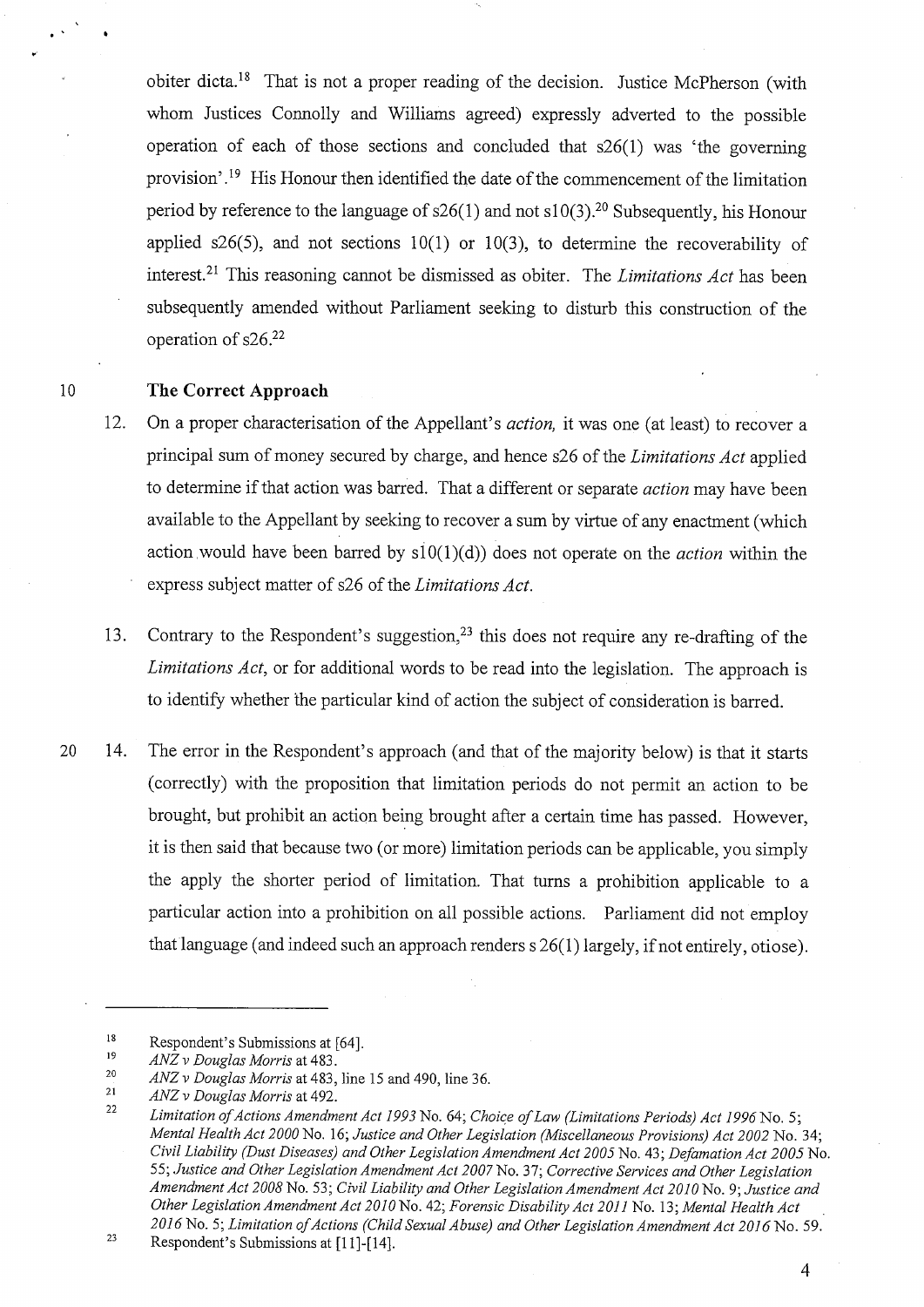obiter dicta.<sup>18</sup> That is not a proper reading of the decision. Justice McPherson (with whom Justices Connolly and Williams agreed) expressly adverted to the possible operation of each of those sections and concluded that s26(1) was 'the governing provision'.<sup>19</sup> His Honour then identified the date of the commencement of the limitation period by reference to the language of  $s26(1)$  and not  $s10(3)$ .<sup>20</sup> Subsequently, his Honour applied s26(5), and not sections  $10(1)$  or  $10(3)$ , to determine the recoverability of interest.<sup>21</sup> This reasoning cannot be dismissed as obiter. The *Limitations Act* has been subsequently amended without Parliament seeking to disturb this construction of the operation of s26.22

# *10* The Correct Approach

- 12. On a proper characterisation of the Appellant's *action,* it was one (at least) to recover a principal sum of money secured by charge, and hence s26 of the *Limitations Act* applied to determine if that action was barred. That a different or separate *action* may have been available to the Appellant by seeking to recover a sum by virtue of any enactment (which action would have been barred by s10(1)(d)) does not operate on the *action* within the express subject matter of s26 of the *Limitations Act.*
- 13. Contrary to the Respondent's suggestion,<sup>23</sup> this does not require any re-drafting of the *Limitations Act,* or for additional words to be read into the legislation. The approach is to identify whether the particular kind of action the subject of consideration is barred.
- 20 14. The error in the Respondent's approach (and that of the majority below) is that it starts (correctly) with the proposition that limitation periods do not permit an action to be brought, but prohibit an action being brought after a certain time has passed. However, it is then said that because two (or more) limitation periods can be applicable, you simply the apply the shorter period of limitation. That turns a prohibition applicable to a particular action into a prohibition on all possible actions. Parliament did not employ that language (and indeed such an approach renders s 26(1) largely, if not entirely, otiose).

4

<sup>&</sup>lt;sup>18</sup><br>Respondent's Submissions at [64].<br> $\frac{19}{4N^2}$  Pouglas Morrie et 483

<sup>19</sup>*ANZ v Douglas Morris* at 483.

<sup>20</sup>*ANZ v Douglas Morris* at 483, line 15 and 490, line 36.

<sup>21</sup>*ANZ v Douglas Morris* at 492.

<sup>22</sup>*Limitation of Actions Amendment Act 1993* No. 64; *Choice of Law (Limitations Periods) Act 1996* No. 5; *Mental Health Act 2000* No. 16; *Justice and Other Legislation (Miscellaneous Provisions) Act 2002* No. 34; *Civil Liability (Dust Diseases) and Other Legislation Amendment Act 2005* No. 43; *Defamation Act 2005* No. 55; *Justice and Other Legislation Amendment Act 2007* No. 37; *Corrective Services and Other Legislation Amendment Act 2008* No. 53; *Civil Liability and Other Legislation Amendment Act 2010* No. 9; *Justice and Other Legislation Amendment Act 2010* No. 42; *Forensic Disability Act 2011* No. 13; *Mental Health Act 2016* No. 5; *Limitation of Actions (Child Sexual Abuse) and Other Legislation Amendment Act 2016* No. 59.

 $23$  Respondent's Submissions at [11]-[14].